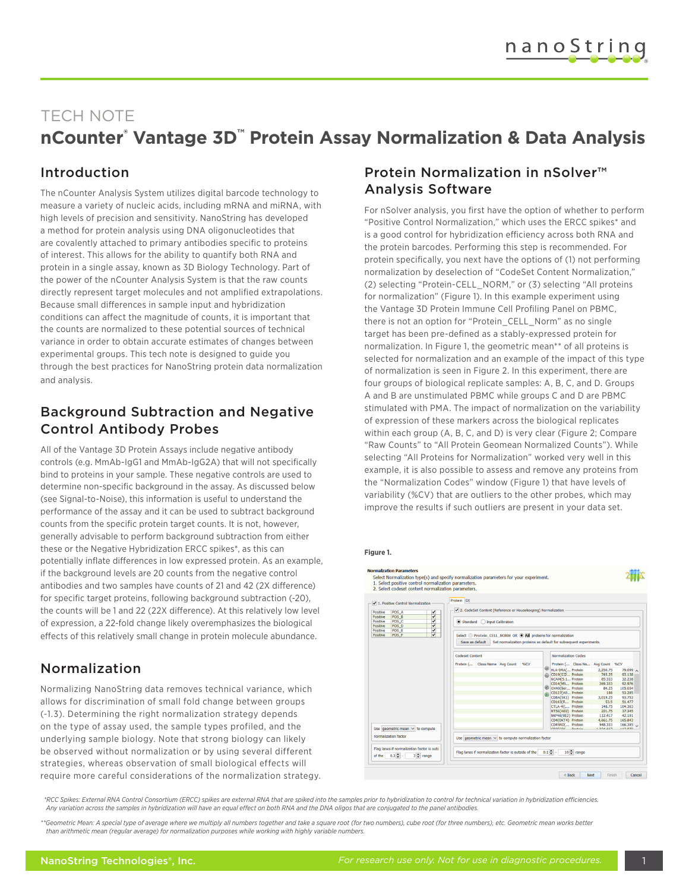# TECH NOTE

# **nCounter® Vantage 3D™ Protein Assay Normalization & Data Analysis**

### Introduction

The nCounter Analysis System utilizes digital barcode technology to measure a variety of nucleic acids, including mRNA and miRNA, with high levels of precision and sensitivity. NanoString has developed a method for protein analysis using DNA oligonucleotides that are covalently attached to primary antibodies specific to proteins of interest. This allows for the ability to quantify both RNA and protein in a single assay, known as 3D Biology Technology. Part of the power of the nCounter Analysis System is that the raw counts directly represent target molecules and not amplified extrapolations. Because small differences in sample input and hybridization conditions can affect the magnitude of counts, it is important that the counts are normalized to these potential sources of technical variance in order to obtain accurate estimates of changes between experimental groups. This tech note is designed to guide you through the best practices for NanoString protein data normalization and analysis.

### Background Subtraction and Negative Control Antibody Probes

All of the Vantage 3D Protein Assays include negative antibody controls (e.g. MmAb-IgG1 and MmAb-IgG2A) that will not specifically bind to proteins in your sample. These negative controls are used to determine non-specific background in the assay. As discussed below (see Signal-to-Noise), this information is useful to understand the performance of the assay and it can be used to subtract background counts from the specific protein target counts. It is not, however, generally advisable to perform background subtraction from either these or the Negative Hybridization ERCC spikes\*, as this can potentially inflate differences in low expressed protein. As an example, if the background levels are 20 counts from the negative control antibodies and two samples have counts of 21 and 42 (2X difference) for specific target proteins, following background subtraction (-20), the counts will be 1 and 22 (22X difference). At this relatively low level of expression, a 22-fold change likely overemphasizes the biological effects of this relatively small change in protein molecule abundance.

## Normalization

Normalizing NanoString data removes technical variance, which allows for discrimination of small fold change between groups (~1.3). Determining the right normalization strategy depends on the type of assay used, the sample types profiled, and the underlying sample biology. Note that strong biology can likely be observed without normalization or by using several different strategies, whereas observation of small biological effects will require more careful considerations of the normalization strategy.

### Protein Normalization in nSolver™ Analysis Software

For nSolver analysis, you first have the option of whether to perform "Positive Control Normalization," which uses the ERCC spikes\* and is a good control for hybridization efficiency across both RNA and the protein barcodes. Performing this step is recommended. For protein specifically, you next have the options of (1) not performing normalization by deselection of "CodeSet Content Normalization," (2) selecting "Protein-CELL\_NORM," or (3) selecting "All proteins for normalization" (Figure 1). In this example experiment using the Vantage 3D Protein Immune Cell Profiling Panel on PBMC, there is not an option for "Protein CELL\_Norm" as no single target has been pre-defined as a stably-expressed protein for normalization. In Figure 1, the geometric mean\*\* of all proteins is selected for normalization and an example of the impact of this type of normalization is seen in Figure 2. In this experiment, there are four groups of biological replicate samples: A, B, C, and D. Groups A and B are unstimulated PBMC while groups C and D are PBMC stimulated with PMA. The impact of normalization on the variability of expression of these markers across the biological replicates within each group (A, B, C, and D) is very clear (Figure 2; Compare "Raw Counts" to "All Protein Geomean Normalized Counts"). While selecting "All Proteins for Normalization" worked very well in this example, it is also possible to assess and remove any proteins from the "Normalization Codes" window (Figure 1) that have levels of variability (%CV) that are outliers to the other probes, which may improve the results if such outliers are present in your data set.

#### **Figure 1.**



*\*RCC Spikes: External RNA Control Consortium (ERCC) spikes are external RNA that are spiked into the samples prior to hybridization to control for technical variation in hybridization efficiencies. Any variation across the samples in hybridization will have an equal effect on both RNA and the DNA oligos that are conjugated to the panel antibodies.*

*\*\*Geometric Mean: A special type of average where we multiply all numbers together and take a square root (for two numbers), cube root (for three numbers), etc. Geometric mean works better than arithmetic mean (regular average) for normalization purposes while working with highly variable numbers.*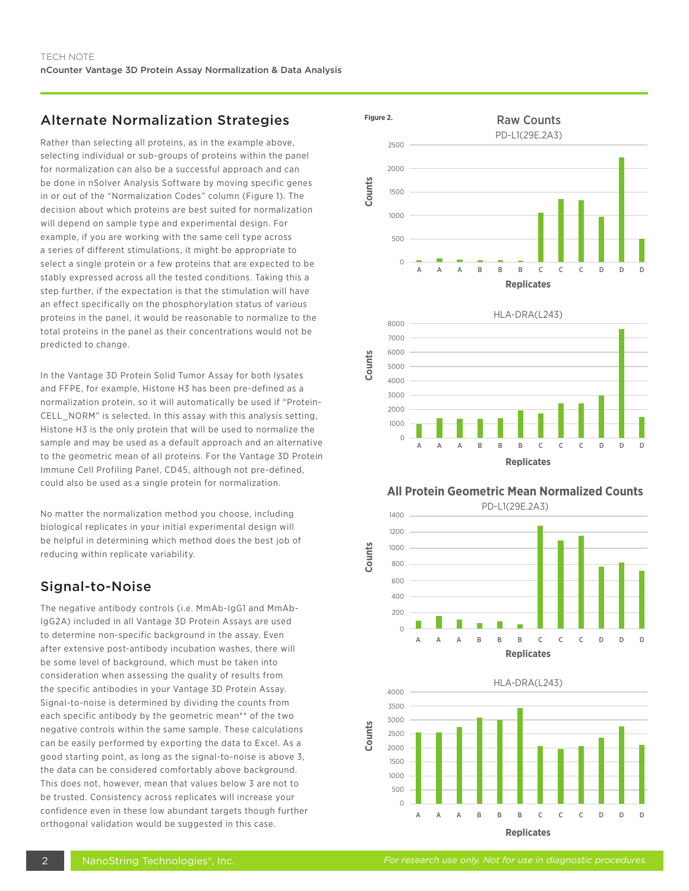### Alternate Normalization Strategies

Rather than selecting all proteins, as in the example above, selecting individual or sub-groups of proteins within the panel for normalization can also be a successful approach and can be done in nSolver Analysis Software by moving specific genes in or out of the "Normalization Codes" column (Figure 1). The decision about which proteins are best suited for normalization will depend on sample type and experimental design. For example, if you are working with the same cell type across a series of different stimulations, it might be appropriate to select a single protein or a few proteins that are expected to be stably expressed across all the tested conditions. Taking this a step further, if the expectation is that the stimulation will have an effect specifically on the phosphorylation status of various proteins in the panel, it would be reasonable to normalize to the total proteins in the panel as their concentrations would not be predicted to change.

In the Vantage 3D Protein Solid Tumor Assay for both lysates and FFPE, for example, Histone H3 has been pre-defined as a normalization protein, so it will automatically be used if "Protein-CELL\_NORM" is selected. In this assay with this analysis setting, Histone H3 is the only protein that will be used to normalize the sample and may be used as a default approach and an alternative to the geometric mean of all proteins. For the Vantage 3D Protein Immune Cell Profiling Panel, CD45, although not pre-defined, could also be used as a single protein for normalization.

No matter the normalization method you choose, including biological replicates in your initial experimental design will be helpful in determining which method does the best job of reducing within replicate variability.

### Signal-to-Noise

The negative antibody controls (i.e. MmAb-IgG1 and MmAb-IgG2A) included in all Vantage 3D Protein Assays are used to determine non-specific background in the assay. Even after extensive post-antibody incubation washes, there will be some level of background, which must be taken into consideration when assessing the quality of results from the specific antibodies in your Vantage 3D Protein Assay. Signal-to-noise is determined by dividing the counts from each specific antibody by the geometric mean\*\* of the two negative controls within the same sample. These calculations can be easily performed by exporting the data to Excel. As a good starting point, as long as the signal-to-noise is above 3, the data can be considered comfortably above background. This does not, however, mean that values below 3 are not to be trusted. Consistency across replicates will increase your confidence even in these low abundant targets though further orthogonal validation would be suggested in this case.





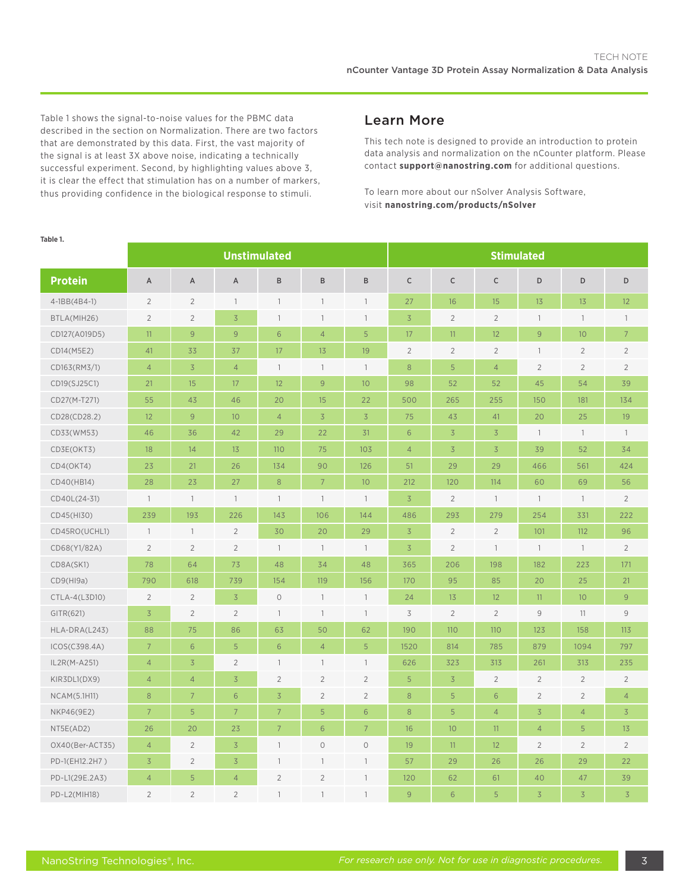Table 1 shows the signal-to-noise values for the PBMC data described in the section on Normalization. There are two factors that are demonstrated by this data. First, the vast majority of the signal is at least 3X above noise, indicating a technically successful experiment. Second, by highlighting values above 3, it is clear the effect that stimulation has on a number of markers, thus providing confidence in the biological response to stimuli.

### Learn More

This tech note is designed to provide an introduction to protein data analysis and normalization on the nCounter platform. Please contact **support@nanostring.com** for additional questions.

To learn more about our nSolver Analysis Software, visit **nanostring.com/products/nSolver**

| ianie i.        | <b>Unstimulated</b>      |                          |                 |                          |                          |                          | <b>Stimulated</b> |                 |                |                          |                 |                 |
|-----------------|--------------------------|--------------------------|-----------------|--------------------------|--------------------------|--------------------------|-------------------|-----------------|----------------|--------------------------|-----------------|-----------------|
|                 |                          |                          |                 |                          |                          |                          |                   |                 |                |                          |                 |                 |
| <b>Protein</b>  | Α                        | Α                        | A               | B                        | $\, {\sf B}$             | B                        | $\mathsf C$       | $\mathsf C$     | $\mathsf C$    | D                        | D               | D               |
| 4-1BB(4B4-1)    | $\overline{2}$           | $\overline{2}$           | $\mathbf{1}$    | $\mathbf{1}$             | $\overline{\phantom{a}}$ | $\mathbf{1}$             | 27                | 16              | 15             | 13                       | 13              | 12              |
| BTLA(MIH26)     | $\overline{2}$           | $\sqrt{2}$               | $\overline{3}$  | $\mathbf{1}$             | 1                        | $\mathbf{1}$             | $\overline{3}$    | $\overline{2}$  | $\overline{2}$ | $\overline{\phantom{a}}$ | $\mathbf{1}$    | $\mathbb{1}$    |
| CD127(A019D5)   | 11                       | 9                        | 9               | 6                        | $\overline{4}$           | 5                        | 17                | 11 <sup>°</sup> | 12             | $\overline{9}$           | 10 <sup>°</sup> | $7\overline{ }$ |
| CD14(M5E2)      | 41                       | 33                       | 37              | 17                       | 13                       | 19                       | $\overline{2}$    | $\overline{2}$  | $\overline{2}$ | $\overline{\phantom{a}}$ | $\sqrt{2}$      | $\sqrt{2}$      |
| CD163(RM3/1)    | $\overline{4}$           | $\overline{3}$           | $\overline{4}$  | $\mathbf{1}$             | $\overline{1}$           | $\overline{\phantom{a}}$ | 8                 | 5               | $\overline{4}$ | $\overline{2}$           | $\sqrt{2}$      | $\overline{2}$  |
| CD19(SJ25C1)    | 21                       | 15                       | 17              | 12                       | 9                        | 10                       | 98                | 52              | 52             | 45                       | 54              | 39              |
| CD27(M-T271)    | 55                       | 43                       | 46              | 20                       | 15                       | 22                       | 500               | 265             | 255            | 150                      | 181             | 134             |
| CD28(CD28.2)    | 12                       | 9                        | 10 <sup>°</sup> | $\overline{4}$           | $\overline{3}$           | $\overline{3}$           | 75                | 43              | 41             | 20                       | 25              | 19              |
| CD33(WM53)      | 46                       | 36                       | 42              | 29                       | 22                       | 31                       | 6                 | $\overline{3}$  | $\overline{3}$ | $\mathbf{1}$             | $\mathbf{1}$    | $\mathbb{1}$    |
| CD3E(OKT3)      | 18                       | 14                       | 13              | 110                      | 75                       | 103                      | $\overline{4}$    | $\overline{3}$  | $\overline{3}$ | 39                       | 52              | 34              |
| CD4(OKT4)       | 23                       | 21                       | 26              | 134                      | 90                       | 126                      | 51                | 29              | 29             | 466                      | 561             | 424             |
| CD40(HB14)      | 28                       | 23                       | 27              | 8                        | $7\overline{ }$          | 10                       | 212               | 120             | 114            | 60                       | 69              | 56              |
| CD40L(24-31)    | $\overline{\phantom{a}}$ | $\overline{\phantom{a}}$ | $\overline{1}$  | $\overline{\phantom{a}}$ | $\mathbf{1}$             | $\overline{1}$           | $\overline{3}$    | $\overline{2}$  | $\overline{1}$ | $\mathbb{1}$             | $\mathbf{1}$    | $\overline{2}$  |
| CD45(HI30)      | 239                      | 193                      | 226             | 143                      | 106                      | 144                      | 486               | 293             | 279            | 254                      | 331             | 222             |
| CD45RO(UCHL1)   | $\mathbb{1}$             | $\overline{\phantom{a}}$ | $\overline{2}$  | 30                       | 20                       | 29                       | $\overline{3}$    | $\overline{2}$  | $\overline{2}$ | 101                      | 112             | 96              |
| CD68(Y1/82A)    | $\overline{2}$           | $\overline{2}$           | $\overline{2}$  | $\mathbf{1}$             | $\overline{1}$           | $\overline{\phantom{a}}$ | $\overline{3}$    | $\overline{2}$  | $\mathbb{1}$   | $\overline{\phantom{a}}$ | $\mathbf{1}$    | $\overline{2}$  |
| CD8A(SK1)       | 78                       | 64                       | 73              | 48                       | 34                       | 48                       | 365               | 206             | 198            | 182                      | 223             | 171             |
| CD9(H19a)       | 790                      | 618                      | 739             | 154                      | 119                      | 156                      | 170               | 95              | 85             | 20                       | 25              | 21              |
| CTLA-4(L3D10)   | $\overline{2}$           | $\overline{2}$           | $\overline{3}$  | $\circ$                  | $\overline{\phantom{a}}$ | $\mathbf{1}$             | 24                | 13              | 12             | 11                       | 10              | 9               |
| GITR(621)       | $\overline{3}$           | $\overline{2}$           | $\overline{2}$  | $\overline{\phantom{a}}$ | $\overline{1}$           | $\overline{1}$           | 3                 | $\sqrt{2}$      | $\overline{2}$ | $\mathcal{G}$            | 11              | $\mathsf 9$     |
| HLA-DRA(L243)   | 88                       | 75                       | 86              | 63                       | 50                       | 62                       | 190               | 110             | 110            | 123                      | 158             | 113             |
| ICOS(C398.4A)   | $\overline{7}$           | 6                        | 5               | 6                        | $\overline{4}$           | 5                        | 1520              | 814             | 785            | 879                      | 1094            | 797             |
| IL2R(M-A251)    | $\overline{4}$           | $\overline{3}$           | $\overline{2}$  | $\overline{\phantom{a}}$ | $\overline{\phantom{a}}$ | $\overline{\phantom{a}}$ | 626               | 323             | 313            | 261                      | 313             | 235             |
| KIR3DL1(DX9)    | $\overline{4}$           | $\overline{4}$           | $\overline{3}$  | $\overline{2}$           | $\overline{2}$           | $\overline{2}$           | 5                 | $\overline{3}$  | $\overline{2}$ | $\sqrt{2}$               | $\sqrt{2}$      | $\overline{2}$  |
| NCAM(5.1H11)    | 8                        | $7\overline{ }$          | 6               | $\overline{3}$           | $\overline{2}$           | $\overline{2}$           | $\,8\,$           | 5               | 6              | $\overline{2}$           | $\overline{2}$  | $\overline{4}$  |
| NKP46(9E2)      | $\overline{7}$           | 5                        | $\overline{7}$  | $\overline{7}$           | $\overline{5}$           | 6                        | 8                 | 5               | $\overline{4}$ | $\overline{3}$           | $\overline{4}$  | $\overline{3}$  |
| NT5E(AD2)       | 26                       | 20                       | 23              | $7\overline{ }$          | 6                        | $\overline{7}$           | 16                | 10 <sup>°</sup> | 11             | $\overline{4}$           | 5               | 13              |
| OX40(Ber-ACT35) | $\overline{4}$           | $\overline{2}$           | $\overline{3}$  | $\overline{\phantom{a}}$ | $\circ$                  | $\bigcirc$               | 19                | 11              | 12             | $\overline{2}$           | $\sqrt{2}$      | $\overline{2}$  |
| PD-1(EH12.2H7)  | $\overline{3}$           | $\overline{2}$           | $\overline{3}$  | $\overline{1}$           | 1                        | 1                        | 57                | 29              | 26             | 26                       | 29              | 22              |
| PD-L1(29E.2A3)  | $\overline{4}$           | 5                        | $\overline{4}$  | $\overline{2}$           | $\overline{2}$           | 1                        | 120               | 62              | 61             | 40                       | 47              | 39              |
| PD-L2(MIH18)    | $\overline{2}$           | $\overline{2}$           | $\overline{2}$  | $\overline{1}$           | 1                        | $\mathbf{1}$             | 9                 | 6               | 5              | $\overline{3}$           | $\overline{3}$  | $\overline{3}$  |

### **Table 1.**